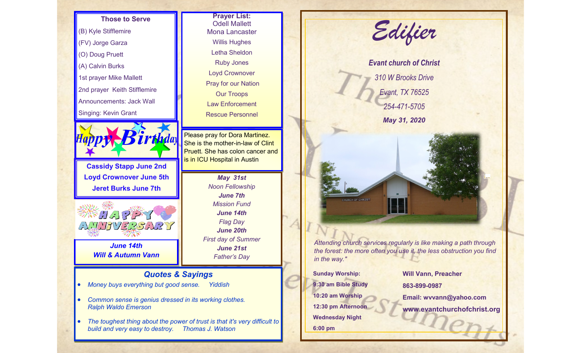

- *Common sense is genius dressed in its working clothes. Ralph Waldo Emerson*
- *The toughest thing about the power of trust is that it's very difficult to build and very easy to destroy. Thomas J. Watson*

**Prayer List:**  Odell Mallett Mona Lancaster Willis Hughes Letha Sheldon Ruby Jones Loyd Crownover Pray for our Nation Our Troops Law Enforcement Rescue Personnel

*May 31st Noon Fellowship June 7th Mission Fund June 14th Flag Day June 20th First day of Summer June 21st Father's Day*



*the forest: the more often you use it, the less obstruction you find* 

**Sunday Worship: 9:30 am Bible Study 10:20 am Worship 12:30 pm Afternoon Wednesday Night 6:00 pm**

**Will Vann, Preacher 863-899-0987 Email: wvvann@yahoo.com www.evantchurchofchrist.org**